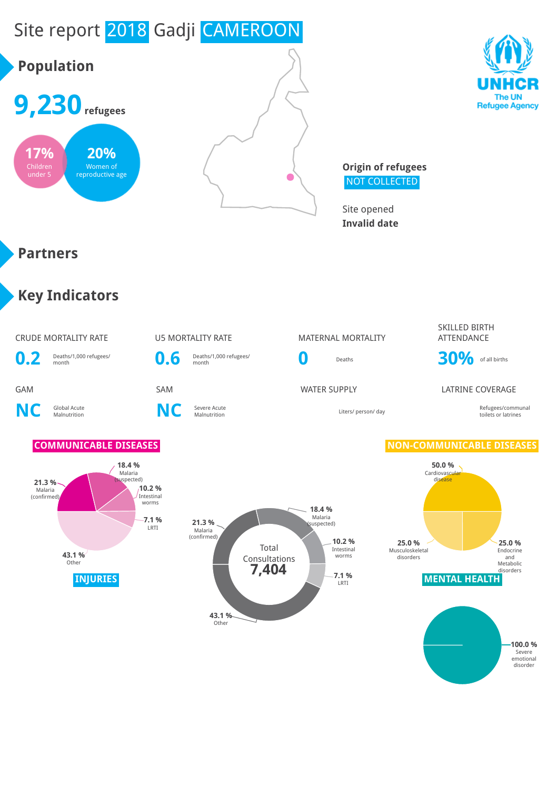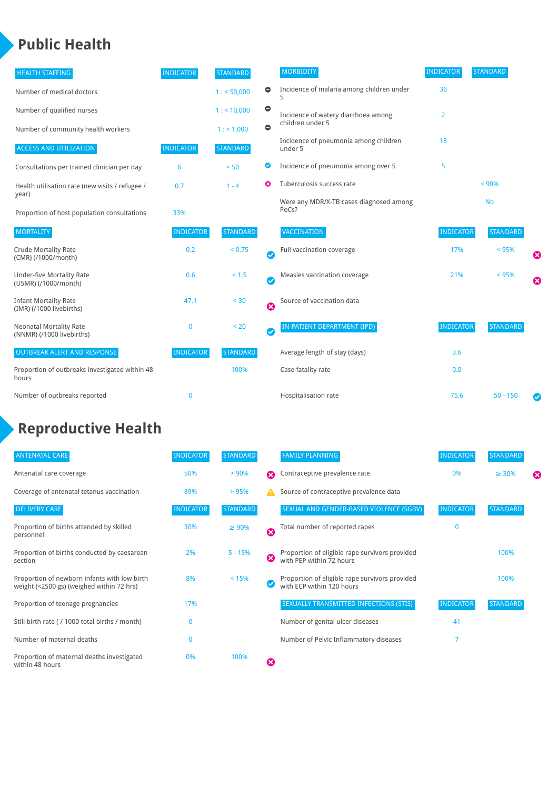### **Public Health**

| <b>HEALTH STAFFING</b>                                      | <b>INDICATOR</b> | <b>STANDARD</b> |           | <b>MORBIDITY</b>                                 | <b>INDICATOR</b> | <b>STANDARD</b> |   |
|-------------------------------------------------------------|------------------|-----------------|-----------|--------------------------------------------------|------------------|-----------------|---|
| Number of medical doctors                                   |                  | 1: 50,000       | $\bullet$ | Incidence of malaria among children under        | 36               |                 |   |
| Number of qualified nurses                                  |                  | $1:$ < 10,000   | $\bullet$ | Incidence of watery diarrhoea among              | 2                |                 |   |
| Number of community health workers                          |                  | 1:1,000         | $\bullet$ | children under 5                                 |                  |                 |   |
| <b>ACCESS AND UTILIZATION</b>                               | <b>INDICATOR</b> | <b>STANDARD</b> |           | Incidence of pneumonia among children<br>under 5 | 18               |                 |   |
| Consultations per trained clinician per day                 | 6                | < 50            | ◎         | Incidence of pneumonia among over 5              | 5                |                 |   |
| Health utilisation rate (new visits / refugee /             | 0.7              | $1 - 4$         |           | Tuberculosis success rate                        |                  | < 90%           |   |
| year)<br>Proportion of host population consultations        | 33%              |                 |           | Were any MDR/X-TB cases diagnosed among<br>PoCs? |                  | <b>No</b>       |   |
| <b>MORTALITY</b>                                            | <b>INDICATOR</b> | <b>STANDARD</b> |           | <b>VACCINATION</b>                               | <b>INDICATOR</b> | <b>STANDARD</b> |   |
| <b>Crude Mortality Rate</b><br>(CMR) (/1000/month)          | 0.2              | < 0.75          | Ø         | Full vaccination coverage                        | 17%              | < 95%           | € |
| <b>Under-five Mortality Rate</b><br>(U5MR) (/1000/month)    | 0.6              | $< 1.5$         | Ø         | Measles vaccination coverage                     | 21%              | < 95%           | Ø |
| <b>Infant Mortality Rate</b><br>(IMR) (/1000 livebirths)    | 47.1             | $30$            | Ø         | Source of vaccination data                       |                  |                 |   |
| <b>Neonatal Mortality Rate</b><br>(NNMR) (/1000 livebirths) | 0                | < 20            | Ø         | IN-PATIENT DEPARTMENT (IPD)                      | <b>INDICATOR</b> | <b>STANDARD</b> |   |
| <b>OUTBREAK ALERT AND RESPONSE</b>                          | <b>INDICATOR</b> | <b>STANDARD</b> |           | Average length of stay (days)                    | 3.6              |                 |   |
| Proportion of outbreaks investigated within 48<br>hours     |                  | 100%            |           | Case fatality rate                               | 0.0              |                 |   |
| Number of outbreaks reported                                | 0                |                 |           | Hospitalisation rate                             | 75.6             | $50 - 150$      |   |

### **Reproductive Health**

| <b>ANTENATAL CARE</b>                                                                     | <b>INDICATOR</b> | <b>STANDARD</b> |   | <b>FAMILY PLANNING</b>                                                      | <b>INDICATOR</b> | <b>STANDARD</b> |   |
|-------------------------------------------------------------------------------------------|------------------|-----------------|---|-----------------------------------------------------------------------------|------------------|-----------------|---|
| Antenatal care coverage                                                                   | 50%              | > 90%           | ⋒ | Contraceptive prevalence rate                                               | 0%               | $\geq 30\%$     | ⊠ |
| Coverage of antenatal tetanus vaccination                                                 | 89%              | >95%            |   | Source of contraceptive prevalence data                                     |                  |                 |   |
| <b>DELIVERY CARE</b>                                                                      | <b>INDICATOR</b> | <b>STANDARD</b> |   | SEXUAL AND GENDER-BASED VIOLENCE (SGBV)                                     | <b>INDICATOR</b> | <b>STANDARD</b> |   |
| Proportion of births attended by skilled<br>personnel                                     | 30%              | $\geq 90\%$     | Ø | Total number of reported rapes                                              | O                |                 |   |
| Proportion of births conducted by caesarean<br>section                                    | 2%               | $5 - 15%$       | ೞ | Proportion of eligible rape survivors provided<br>with PEP within 72 hours  |                  | 100%            |   |
| Proportion of newborn infants with low birth<br>weight (<2500 gs) (weighed within 72 hrs) | 8%               | < 15%           |   | Proportion of eligible rape survivors provided<br>with ECP within 120 hours |                  | 100%            |   |
| Proportion of teenage pregnancies                                                         | 17%              |                 |   | SEXUALLY TRANSMITTED INFECTIONS (STIS)                                      | <b>INDICATOR</b> | <b>STANDARD</b> |   |
| Still birth rate (/1000 total births / month)                                             |                  |                 |   | Number of genital ulcer diseases                                            | 41               |                 |   |
| Number of maternal deaths                                                                 | 0                |                 |   | Number of Pelvic Inflammatory diseases                                      |                  |                 |   |
| Proportion of maternal deaths investigated<br>within 48 hours                             | 0%               | 100%            | ظ |                                                                             |                  |                 |   |